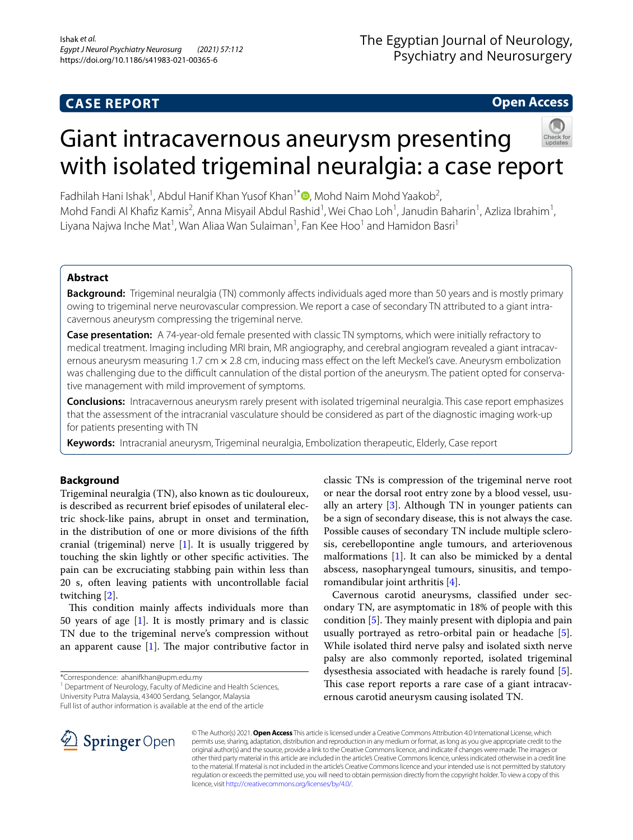# **Open Access**

# Giant intracavernous aneurysm presenting with isolated trigeminal neuralgia: a case report

Fadhilah Hani Ishak<sup>1</sup>, Abdul Hanif Khan Yusof Khan<sup>1[\\*](http://orcid.org/0000-0002-8975-2174)</sup> , Mohd Naim Mohd Yaakob<sup>2</sup>, Mohd Fandi Al Khafiz Kamis<sup>2</sup>, Anna Misyail Abdul Rashid<sup>1</sup>, Wei Chao Loh<sup>1</sup>, Janudin Baharin<sup>1</sup>, Azliza Ibrahim<sup>1</sup>, Liyana Najwa Inche Mat<sup>1</sup>, Wan Aliaa Wan Sulaiman<sup>1</sup>, Fan Kee Hoo<sup>1</sup> and Hamidon Basri<sup>1</sup>

# **Abstract**

**Background:** Trigeminal neuralgia (TN) commonly affects individuals aged more than 50 years and is mostly primary owing to trigeminal nerve neurovascular compression. We report a case of secondary TN attributed to a giant intracavernous aneurysm compressing the trigeminal nerve.

**Case presentation:** A 74-year-old female presented with classic TN symptoms, which were initially refractory to medical treatment. Imaging including MRI brain, MR angiography, and cerebral angiogram revealed a giant intracavernous aneurysm measuring 1.7 cm  $\times$  2.8 cm, inducing mass effect on the left Meckel's cave. Aneurysm embolization was challenging due to the difficult cannulation of the distal portion of the aneurysm. The patient opted for conservative management with mild improvement of symptoms.

**Conclusions:** Intracavernous aneurysm rarely present with isolated trigeminal neuralgia. This case report emphasizes that the assessment of the intracranial vasculature should be considered as part of the diagnostic imaging work-up for patients presenting with TN

**Keywords:** Intracranial aneurysm, Trigeminal neuralgia, Embolization therapeutic, Elderly, Case report

## **Background**

Trigeminal neuralgia (TN), also known as tic douloureux, is described as recurrent brief episodes of unilateral electric shock-like pains, abrupt in onset and termination, in the distribution of one or more divisions of the ffth cranial (trigeminal) nerve [[1](#page-3-0)]. It is usually triggered by touching the skin lightly or other specific activities. The pain can be excruciating stabbing pain within less than 20 s, often leaving patients with uncontrollable facial twitching [[2\]](#page-3-1).

This condition mainly affects individuals more than 50 years of age  $[1]$  $[1]$ . It is mostly primary and is classic TN due to the trigeminal nerve's compression without an apparent cause  $[1]$  $[1]$ . The major contributive factor in

<sup>1</sup> Department of Neurology, Faculty of Medicine and Health Sciences, University Putra Malaysia, 43400 Serdang, Selangor, Malaysia

Full list of author information is available at the end of the article

classic TNs is compression of the trigeminal nerve root or near the dorsal root entry zone by a blood vessel, usually an artery  $[3]$  $[3]$ . Although TN in younger patients can be a sign of secondary disease, this is not always the case. Possible causes of secondary TN include multiple sclerosis, cerebellopontine angle tumours, and arteriovenous malformations  $[1]$  $[1]$ . It can also be mimicked by a dental abscess, nasopharyngeal tumours, sinusitis, and temporomandibular joint arthritis [\[4\]](#page-3-3).

Cavernous carotid aneurysms, classifed under secondary TN, are asymptomatic in 18% of people with this condition  $[5]$  $[5]$  $[5]$ . They mainly present with diplopia and pain usually portrayed as retro-orbital pain or headache [\[5](#page-3-4)]. While isolated third nerve palsy and isolated sixth nerve palsy are also commonly reported, isolated trigeminal dysesthesia associated with headache is rarely found [\[5](#page-3-4)]. This case report reports a rare case of a giant intracavernous carotid aneurysm causing isolated TN.



© The Author(s) 2021. **Open Access** This article is licensed under a Creative Commons Attribution 4.0 International License, which permits use, sharing, adaptation, distribution and reproduction in any medium or format, as long as you give appropriate credit to the original author(s) and the source, provide a link to the Creative Commons licence, and indicate if changes were made. The images or other third party material in this article are included in the article's Creative Commons licence, unless indicated otherwise in a credit line to the material. If material is not included in the article's Creative Commons licence and your intended use is not permitted by statutory regulation or exceeds the permitted use, you will need to obtain permission directly from the copyright holder. To view a copy of this licence, visit [http://creativecommons.org/licenses/by/4.0/.](http://creativecommons.org/licenses/by/4.0/)

<sup>\*</sup>Correspondence: ahanifkhan@upm.edu.my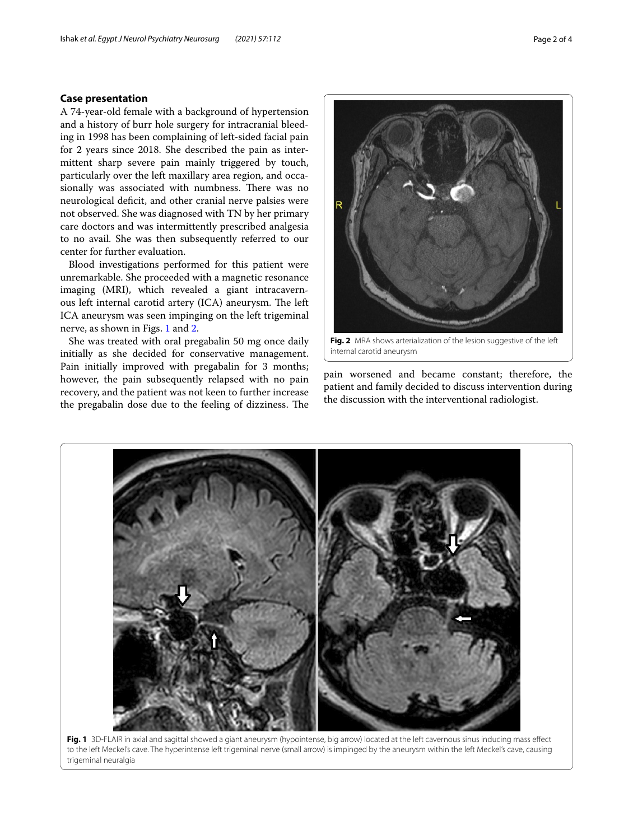#### **Case presentation**

A 74-year-old female with a background of hypertension and a history of burr hole surgery for intracranial bleeding in 1998 has been complaining of left-sided facial pain for 2 years since 2018. She described the pain as intermittent sharp severe pain mainly triggered by touch, particularly over the left maxillary area region, and occasionally was associated with numbness. There was no neurological defcit, and other cranial nerve palsies were not observed. She was diagnosed with TN by her primary care doctors and was intermittently prescribed analgesia to no avail. She was then subsequently referred to our center for further evaluation.

Blood investigations performed for this patient were unremarkable. She proceeded with a magnetic resonance imaging (MRI), which revealed a giant intracavernous left internal carotid artery (ICA) aneurysm. The left ICA aneurysm was seen impinging on the left trigeminal nerve, as shown in Figs. [1](#page-1-0) and [2](#page-1-1).

She was treated with oral pregabalin 50 mg once daily initially as she decided for conservative management. Pain initially improved with pregabalin for 3 months; however, the pain subsequently relapsed with no pain recovery, and the patient was not keen to further increase the pregabalin dose due to the feeling of dizziness. The

<span id="page-1-1"></span>**Fig. 2** MRA shows arterialization of the lesion suggestive of the left internal carotid aneurysm

pain worsened and became constant; therefore, the patient and family decided to discuss intervention during the discussion with the interventional radiologist.

<span id="page-1-0"></span>**Fig. 1** 3D-FLAIR in axial and sagittal showed a giant aneurysm (hypointense, big arrow) located at the left cavernous sinus inducing mass efect to the left Meckel's cave. The hyperintense left trigeminal nerve (small arrow) is impinged by the aneurysm within the left Meckel's cave, causing trigeminal neuralgia

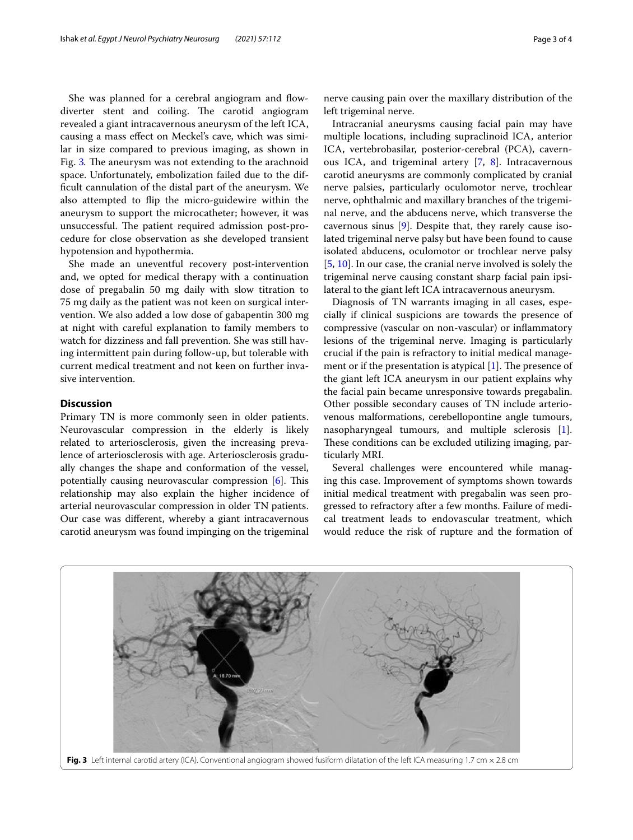She was planned for a cerebral angiogram and flowdiverter stent and coiling. The carotid angiogram revealed a giant intracavernous aneurysm of the left ICA, causing a mass efect on Meckel's cave, which was similar in size compared to previous imaging, as shown in Fig. [3](#page-2-0). The aneurysm was not extending to the arachnoid space. Unfortunately, embolization failed due to the diffcult cannulation of the distal part of the aneurysm. We also attempted to fip the micro-guidewire within the aneurysm to support the microcatheter; however, it was unsuccessful. The patient required admission post-procedure for close observation as she developed transient hypotension and hypothermia.

She made an uneventful recovery post-intervention and, we opted for medical therapy with a continuation dose of pregabalin 50 mg daily with slow titration to 75 mg daily as the patient was not keen on surgical intervention. We also added a low dose of gabapentin 300 mg at night with careful explanation to family members to watch for dizziness and fall prevention. She was still having intermittent pain during follow-up, but tolerable with current medical treatment and not keen on further invasive intervention.

### **Discussion**

Primary TN is more commonly seen in older patients. Neurovascular compression in the elderly is likely related to arteriosclerosis, given the increasing prevalence of arteriosclerosis with age. Arteriosclerosis gradually changes the shape and conformation of the vessel, potentially causing neurovascular compression  $[6]$ . This relationship may also explain the higher incidence of arterial neurovascular compression in older TN patients. Our case was diferent, whereby a giant intracavernous carotid aneurysm was found impinging on the trigeminal

nerve causing pain over the maxillary distribution of the left trigeminal nerve.

Intracranial aneurysms causing facial pain may have multiple locations, including supraclinoid ICA, anterior ICA, vertebrobasilar, posterior-cerebral (PCA), cavern-ous ICA, and trigeminal artery [\[7](#page-3-6), [8](#page-3-7)]. Intracavernous carotid aneurysms are commonly complicated by cranial nerve palsies, particularly oculomotor nerve, trochlear nerve, ophthalmic and maxillary branches of the trigeminal nerve, and the abducens nerve, which transverse the cavernous sinus [[9\]](#page-3-8). Despite that, they rarely cause isolated trigeminal nerve palsy but have been found to cause isolated abducens, oculomotor or trochlear nerve palsy [[5,](#page-3-4) [10](#page-3-9)]. In our case, the cranial nerve involved is solely the trigeminal nerve causing constant sharp facial pain ipsilateral to the giant left ICA intracavernous aneurysm.

Diagnosis of TN warrants imaging in all cases, especially if clinical suspicions are towards the presence of compressive (vascular on non-vascular) or infammatory lesions of the trigeminal nerve. Imaging is particularly crucial if the pain is refractory to initial medical management or if the presentation is atypical  $[1]$  $[1]$ . The presence of the giant left ICA aneurysm in our patient explains why the facial pain became unresponsive towards pregabalin. Other possible secondary causes of TN include arteriovenous malformations, cerebellopontine angle tumours, nasopharyngeal tumours, and multiple sclerosis [\[1](#page-3-0)]. These conditions can be excluded utilizing imaging, particularly MRI.

Several challenges were encountered while managing this case. Improvement of symptoms shown towards initial medical treatment with pregabalin was seen progressed to refractory after a few months. Failure of medical treatment leads to endovascular treatment, which would reduce the risk of rupture and the formation of

<span id="page-2-0"></span>